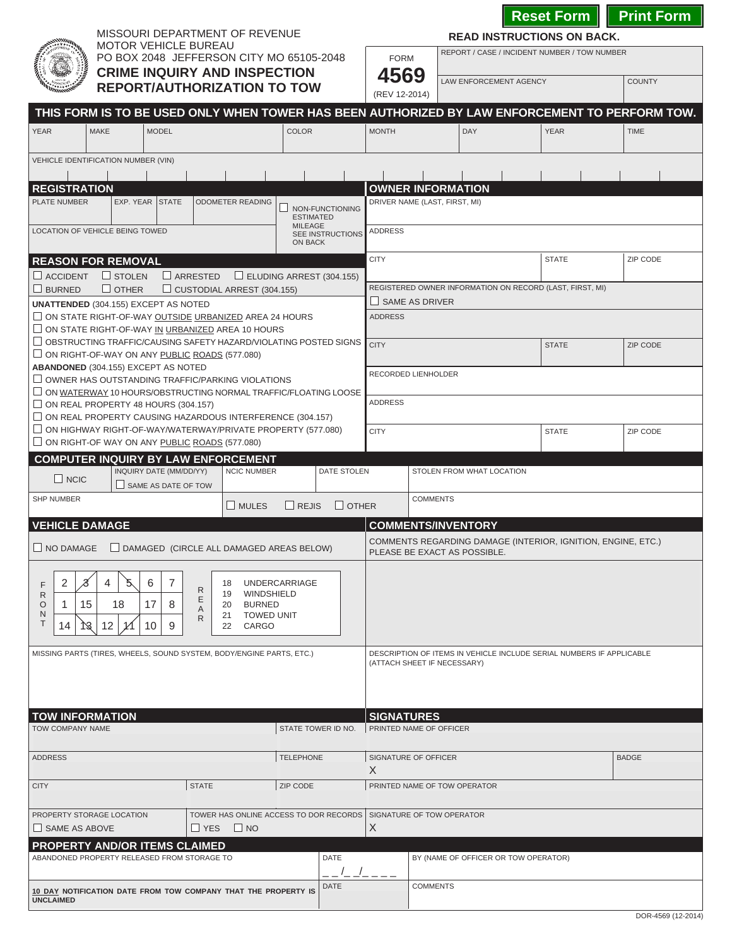MISSOURI DEPARTMENT OF REVENUE

REPORT / CASE / INCIDENT NUMBER / TOW NUMBER **READ INSTRUCTIONS ON BACK.**



| <b>MOTOR VEHICLE BUREAU</b><br>PO BOX 2048 JEFFERSON CITY MO 65105-2048                                                                                                                                                                                                  | <b>FORM</b>                                     |                                                                                              | REPORT / CASE / INCIDENT NUMBER / TOW NUMBER                         |              |               |  |  |
|--------------------------------------------------------------------------------------------------------------------------------------------------------------------------------------------------------------------------------------------------------------------------|-------------------------------------------------|----------------------------------------------------------------------------------------------|----------------------------------------------------------------------|--------------|---------------|--|--|
| <b>CRIME INQUIRY AND INSPECTION</b><br><b>REPORT/AUTHORIZATION TO TOW</b>                                                                                                                                                                                                | 4569<br>(REV 12-2014)                           |                                                                                              | LAW ENFORCEMENT AGENCY                                               |              | <b>COUNTY</b> |  |  |
| THIS FORM IS TO BE USED ONLY WHEN TOWER HAS BEEN AUTHORIZED BY LAW ENFORCEMENT TO PERFORM TOW.                                                                                                                                                                           |                                                 |                                                                                              |                                                                      |              |               |  |  |
| <b>MAKE</b><br><b>MODEL</b><br><b>COLOR</b><br><b>YEAR</b>                                                                                                                                                                                                               | <b>MONTH</b>                                    |                                                                                              | <b>DAY</b>                                                           | <b>YEAR</b>  | <b>TIME</b>   |  |  |
| VEHICLE IDENTIFICATION NUMBER (VIN)                                                                                                                                                                                                                                      |                                                 |                                                                                              |                                                                      |              |               |  |  |
| <b>REGISTRATION</b>                                                                                                                                                                                                                                                      | <b>OWNER INFORMATION</b>                        |                                                                                              |                                                                      |              |               |  |  |
| PLATE NUMBER<br>EXP. YEAR STATE<br><b>ODOMETER READING</b><br>NON-FUNCTIONING<br><b>ESTIMATED</b><br><b>MILEAGE</b><br>LOCATION OF VEHICLE BEING TOWED                                                                                                                   | DRIVER NAME (LAST, FIRST, MI)<br><b>ADDRESS</b> |                                                                                              |                                                                      |              |               |  |  |
| SEE INSTRUCTIONS<br>ON BACK                                                                                                                                                                                                                                              |                                                 |                                                                                              |                                                                      |              |               |  |  |
| <b>REASON FOR REMOVAL</b><br>$\Box$ STOLEN<br>$\Box$ ARRESTED<br>ELUDING ARREST (304.155)<br>$\Box$ ACCIDENT                                                                                                                                                             | <b>CITY</b>                                     |                                                                                              |                                                                      | <b>STATE</b> | ZIP CODE      |  |  |
| $\Box$ BURNED<br>$\Box$ OTHER<br>$\Box$ CUSTODIAL ARREST (304.155)                                                                                                                                                                                                       |                                                 | REGISTERED OWNER INFORMATION ON RECORD (LAST, FIRST, MI)                                     |                                                                      |              |               |  |  |
| <b>UNATTENDED (304.155) EXCEPT AS NOTED</b><br>$\Box$ ON STATE RIGHT-OF-WAY OUTSIDE URBANIZED AREA 24 HOURS                                                                                                                                                              | <b>ADDRESS</b>                                  | SAME AS DRIVER                                                                               |                                                                      |              |               |  |  |
| $\Box$ ON STATE RIGHT-OF-WAY IN URBANIZED AREA 10 HOURS                                                                                                                                                                                                                  |                                                 |                                                                                              |                                                                      |              |               |  |  |
| $\Box$ OBSTRUCTING TRAFFIC/CAUSING SAFETY HAZARD/VIOLATING POSTED SIGNS<br>$\Box$ ON RIGHT-OF-WAY ON ANY PUBLIC ROADS (577.080)<br><b>ABANDONED (304.155) EXCEPT AS NOTED</b>                                                                                            | <b>CITY</b>                                     | <b>STATE</b>                                                                                 |                                                                      |              | ZIP CODE      |  |  |
| $\Box$ OWNER HAS OUTSTANDING TRAFFIC/PARKING VIOLATIONS                                                                                                                                                                                                                  | RECORDED LIENHOLDER                             |                                                                                              |                                                                      |              |               |  |  |
| $\Box$ ON WATERWAY 10 HOURS/OBSTRUCTING NORMAL TRAFFIC/FLOATING LOOSE<br>$\Box$ ON REAL PROPERTY 48 HOURS (304.157)                                                                                                                                                      | <b>ADDRESS</b>                                  |                                                                                              |                                                                      |              |               |  |  |
| $\Box$ ON REAL PROPERTY CAUSING HAZARDOUS INTERFERENCE (304.157)<br>$\Box$ ON HIGHWAY RIGHT-OF-WAY/WATERWAY/PRIVATE PROPERTY (577.080)<br>$\Box$ ON RIGHT-OF WAY ON ANY PUBLIC ROADS (577.080)                                                                           | <b>CITY</b>                                     |                                                                                              |                                                                      | <b>STATE</b> | ZIP CODE      |  |  |
| <b>COMPUTER INQUIRY BY LAW ENFORCEMENT</b>                                                                                                                                                                                                                               |                                                 |                                                                                              |                                                                      |              |               |  |  |
| INQUIRY DATE (MM/DD/YY)<br><b>DATE STOLEN</b><br><b>NCIC NUMBER</b><br>$\Box$ NCIC<br>$\Box$ SAME AS DATE OF TOW                                                                                                                                                         |                                                 |                                                                                              | STOLEN FROM WHAT LOCATION                                            |              |               |  |  |
| <b>SHP NUMBER</b><br>$\Box$ MULES<br>$\Box$ REJIS                                                                                                                                                                                                                        | $\Box$ OTHER                                    | <b>COMMENTS</b>                                                                              |                                                                      |              |               |  |  |
| <b>VEHICLE DAMAGE</b>                                                                                                                                                                                                                                                    |                                                 |                                                                                              | <b>COMMENTS/INVENTORY</b>                                            |              |               |  |  |
| $\Box$ DAMAGED (CIRCLE ALL DAMAGED AREAS BELOW)<br>$\Box$ NO DAMAGE                                                                                                                                                                                                      |                                                 | COMMENTS REGARDING DAMAGE (INTERIOR, IGNITION, ENGINE, ETC.)<br>PLEASE BE EXACT AS POSSIBLE. |                                                                      |              |               |  |  |
| 2<br>4<br>$\mathcal{Z}$<br>5.<br>6<br>7<br><b>UNDERCARRIAGE</b><br>18<br>F<br>R<br>WINDSHIELD<br>19<br>R<br>Ε<br>15<br>17<br>18<br><b>BURNED</b><br>O<br>1<br>8<br>20<br>A<br>N<br><b>TOWED UNIT</b><br>21<br>R<br>Т<br>12<br>$\sqrt{3}$<br>CARGO<br>14<br>10<br>9<br>22 |                                                 |                                                                                              |                                                                      |              |               |  |  |
| MISSING PARTS (TIRES, WHEELS, SOUND SYSTEM, BODY/ENGINE PARTS, ETC.)                                                                                                                                                                                                     | (ATTACH SHEET IF NECESSARY)                     |                                                                                              | DESCRIPTION OF ITEMS IN VEHICLE INCLUDE SERIAL NUMBERS IF APPLICABLE |              |               |  |  |
| <b>TOW INFORMATION</b>                                                                                                                                                                                                                                                   | <b>SIGNATURES</b>                               |                                                                                              |                                                                      |              |               |  |  |
| TOW COMPANY NAME<br>STATE TOWER ID NO.                                                                                                                                                                                                                                   | PRINTED NAME OF OFFICER                         |                                                                                              |                                                                      |              |               |  |  |
| <b>TELEPHONE</b><br><b>ADDRESS</b>                                                                                                                                                                                                                                       | SIGNATURE OF OFFICER<br>X                       |                                                                                              |                                                                      |              | <b>BADGE</b>  |  |  |
| <b>STATE</b><br>ZIP CODE<br><b>CITY</b>                                                                                                                                                                                                                                  | PRINTED NAME OF TOW OPERATOR                    |                                                                                              |                                                                      |              |               |  |  |
| TOWER HAS ONLINE ACCESS TO DOR RECORDS   SIGNATURE OF TOW OPERATOR<br>PROPERTY STORAGE LOCATION<br>$\Box$ NO<br>$\Box$ SAME AS ABOVE<br>$\sqcup$ YES                                                                                                                     | $\times$                                        |                                                                                              |                                                                      |              |               |  |  |
| <b>PROPERTY AND/OR ITEMS CLAIMED</b><br>ABANDONED PROPERTY RELEASED FROM STORAGE TO<br><b>DATE</b>                                                                                                                                                                       |                                                 |                                                                                              | BY (NAME OF OFFICER OR TOW OPERATOR)                                 |              |               |  |  |
| <b>DATE</b><br>10 DAY NOTIFICATION DATE FROM TOW COMPANY THAT THE PROPERTY IS<br><b>UNCLAIMED</b>                                                                                                                                                                        |                                                 | <b>COMMENTS</b>                                                                              |                                                                      |              |               |  |  |